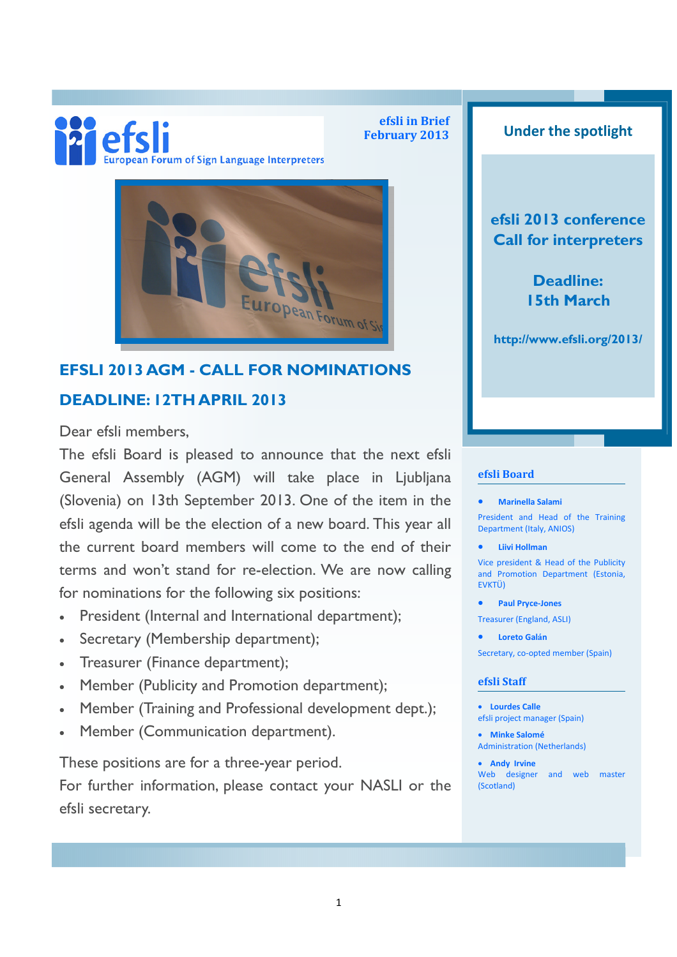# efsli ean Forum of Sign Language Interpreters

efsli in Brief

### February 2013 **Under the spotlight**

### efsli 2013 conference Call for interpreters

Deadline: 15th March

http://www.efsli.org/2013/

## DEADLINE: 12TH APRIL 2013

EFSLI 2013 AGM - CALL FOR NOMINATIONS

Dear efsli members,

The efsli Board is pleased to announce that the next efsli General Assembly (AGM) will take place in Ljubljana (Slovenia) on 13th September 2013. One of the item in the efsli agenda will be the election of a new board. This year all the current board members will come to the end of their terms and won't stand for re-election. We are now calling for nominations for the following six positions:

- President (Internal and International department);
- Secretary (Membership department);
- Treasurer (Finance department);
- Member (Publicity and Promotion department);
- Member (Training and Professional development dept.);
- Member (Communication department).

These positions are for a three-year period.

For further information, please contact your NASLI or the efsli secretary.

#### efsli Board

#### • Marinella Salami

President and Head of the Training Department (Italy, ANIOS)

• Liivi Hollman

Vice president & Head of the Publicity and Promotion Department (Estonia, EVKTÜ)

- Paul Pryce-Jones
- Treasurer (England, ASLI)
- Loreto Galá<sup>n</sup>

Secretary, co-opted member (Spain)

#### efsli Staff

- Lourdes Calle efsli project manager (Spain)
- Minke Salomé Administration (Netherlands)

• Andy Irvine Web designer and web master (Scotland)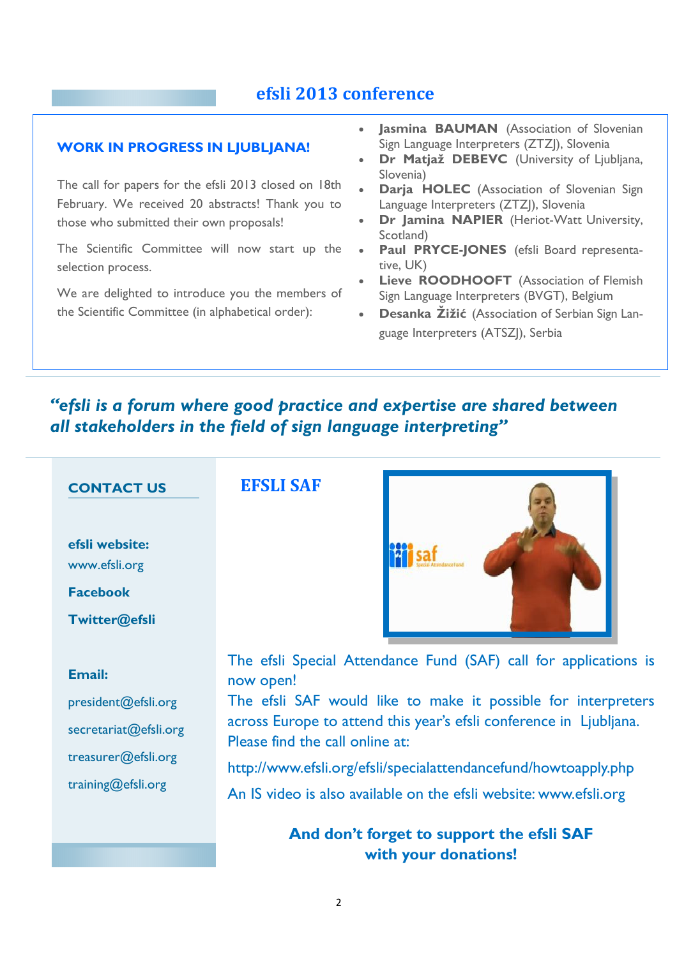### efsli 2013 conference

#### WORK IN PROGRESS IN LIUBLIANA!

The call for papers for the efsli 2013 closed on 18th February. We received 20 abstracts! Thank you to those who submitted their own proposals!

The Scientific Committee will now start up the selection process.

We are delighted to introduce you the members of the Scientific Committee (in alphabetical order):

- Jasmina **BAUMAN** (Association of Slovenian Sign Language Interpreters (ZTZJ), Slovenia
- Dr Matjaž DEBEVC (University of Ljubljana, Slovenia)
- Darja HOLEC (Association of Slovenian Sign Language Interpreters (ZTZJ), Slovenia
- Dr Jamina NAPIER (Heriot-Watt University, Scotland)
- Paul PRYCE-JONES (efsli Board representative, UK)
- Lieve **ROODHOOFT** (Association of Flemish Sign Language Interpreters (BVGT), Belgium
- Desanka Žižić (Association of Serbian Sign Language Interpreters (ATSZJ), Serbia

### "efsli is a forum where good practice and expertise are shared between all stakeholders in the field of sign language interpreting"

#### CONTACT US

efsli website: www.efsli.org

Facebook

Twitter@efsli

#### Email:

president@efsli.org

secretariat@efsli.org

treasurer@efsli.org

training@efsli.org

### EFSLI SAF



The efsli Special Attendance Fund (SAF) call for applications is now open!

The efsli SAF would like to make it possible for interpreters across Europe to attend this year's efsli conference in Ljubljana. Please find the call online at:

http://www.efsli.org/efsli/specialattendancefund/howtoapply.php

An IS video is also available on the efsli website: www.efsli.org

And don't forget to support the efsli SAF with your donations!